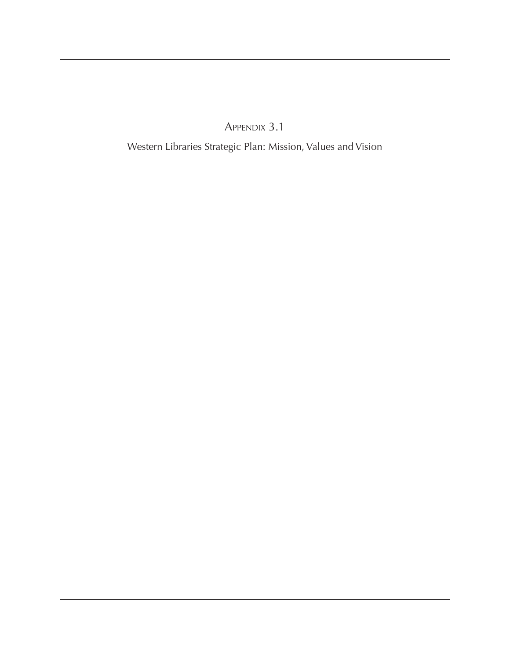Appendix 3.1

Western Libraries Strategic Plan: Mission, Values and Vision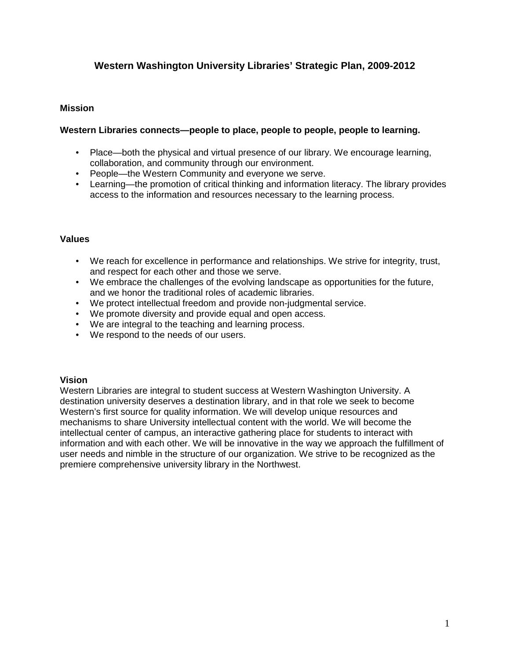# **Western Washington University Libraries' Strategic Plan, 2009-2012**

#### **Mission**

### **Western Libraries connects—people to place, people to people, people to learning.**

- Place—both the physical and virtual presence of our library. We encourage learning, collaboration, and community through our environment.
- People—the Western Community and everyone we serve.
- Learning—the promotion of critical thinking and information literacy. The library provides access to the information and resources necessary to the learning process.

#### **Values**

- We reach for excellence in performance and relationships. We strive for integrity, trust, and respect for each other and those we serve.
- We embrace the challenges of the evolving landscape as opportunities for the future, and we honor the traditional roles of academic libraries.
- We protect intellectual freedom and provide non-judgmental service.
- We promote diversity and provide equal and open access.
- We are integral to the teaching and learning process.
- We respond to the needs of our users.

#### **Vision**

Western Libraries are integral to student success at Western Washington University. A destination university deserves a destination library, and in that role we seek to become Western's first source for quality information. We will develop unique resources and mechanisms to share University intellectual content with the world. We will become the intellectual center of campus, an interactive gathering place for students to interact with information and with each other. We will be innovative in the way we approach the fulfillment of user needs and nimble in the structure of our organization. We strive to be recognized as the premiere comprehensive university library in the Northwest.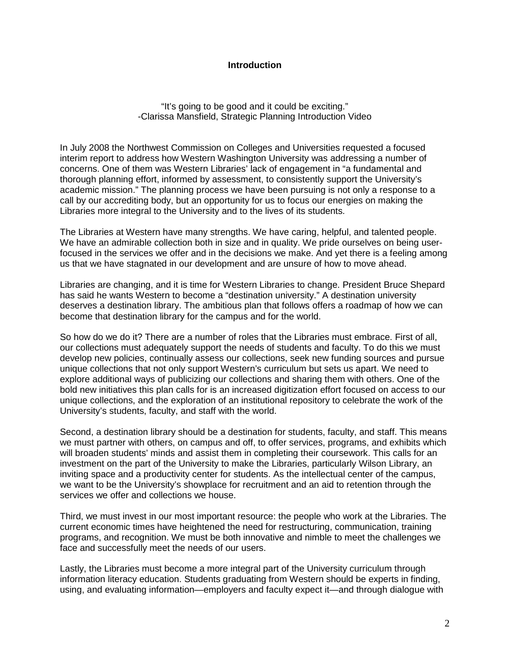#### **Introduction**

"It's going to be good and it could be exciting." -Clarissa Mansfield, Strategic Planning Introduction Video

In July 2008 the Northwest Commission on Colleges and Universities requested a focused interim report to address how Western Washington University was addressing a number of concerns. One of them was Western Libraries' lack of engagement in "a fundamental and thorough planning effort, informed by assessment, to consistently support the University's academic mission." The planning process we have been pursuing is not only a response to a call by our accrediting body, but an opportunity for us to focus our energies on making the Libraries more integral to the University and to the lives of its students.

The Libraries at Western have many strengths. We have caring, helpful, and talented people. We have an admirable collection both in size and in quality. We pride ourselves on being userfocused in the services we offer and in the decisions we make. And yet there is a feeling among us that we have stagnated in our development and are unsure of how to move ahead.

Libraries are changing, and it is time for Western Libraries to change. President Bruce Shepard has said he wants Western to become a "destination university." A destination university deserves a destination library. The ambitious plan that follows offers a roadmap of how we can become that destination library for the campus and for the world.

So how do we do it? There are a number of roles that the Libraries must embrace. First of all, our collections must adequately support the needs of students and faculty. To do this we must develop new policies, continually assess our collections, seek new funding sources and pursue unique collections that not only support Western's curriculum but sets us apart. We need to explore additional ways of publicizing our collections and sharing them with others. One of the bold new initiatives this plan calls for is an increased digitization effort focused on access to our unique collections, and the exploration of an institutional repository to celebrate the work of the University's students, faculty, and staff with the world.

Second, a destination library should be a destination for students, faculty, and staff. This means we must partner with others, on campus and off, to offer services, programs, and exhibits which will broaden students' minds and assist them in completing their coursework. This calls for an investment on the part of the University to make the Libraries, particularly Wilson Library, an inviting space and a productivity center for students. As the intellectual center of the campus, we want to be the University's showplace for recruitment and an aid to retention through the services we offer and collections we house.

Third, we must invest in our most important resource: the people who work at the Libraries. The current economic times have heightened the need for restructuring, communication, training programs, and recognition. We must be both innovative and nimble to meet the challenges we face and successfully meet the needs of our users.

Lastly, the Libraries must become a more integral part of the University curriculum through information literacy education. Students graduating from Western should be experts in finding, using, and evaluating information—employers and faculty expect it—and through dialogue with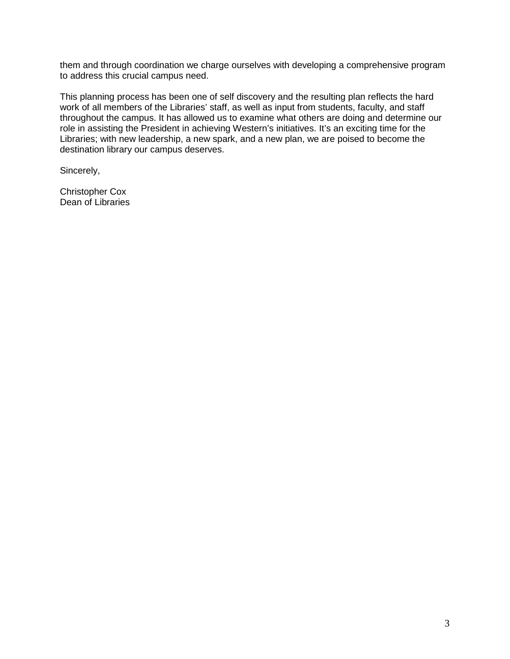them and through coordination we charge ourselves with developing a comprehensive program to address this crucial campus need.

This planning process has been one of self discovery and the resulting plan reflects the hard work of all members of the Libraries' staff, as well as input from students, faculty, and staff throughout the campus. It has allowed us to examine what others are doing and determine our role in assisting the President in achieving Western's initiatives. It's an exciting time for the Libraries; with new leadership, a new spark, and a new plan, we are poised to become the destination library our campus deserves.

Sincerely,

Christopher Cox Dean of Libraries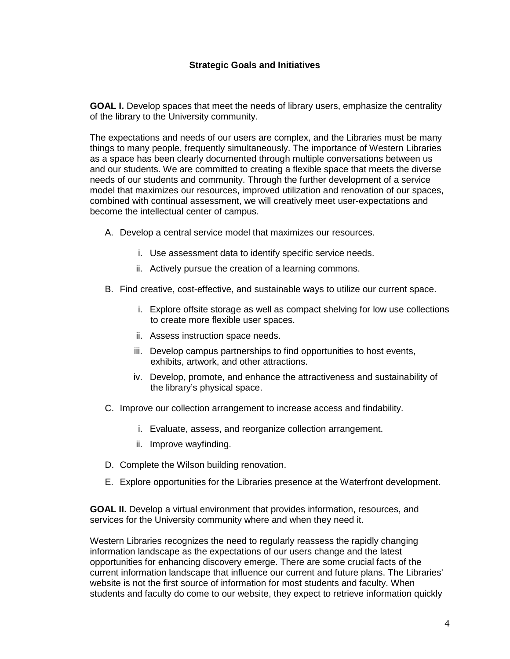**GOAL I.** Develop spaces that meet the needs of library users, emphasize the centrality of the library to the University community.

The expectations and needs of our users are complex, and the Libraries must be many things to many people, frequently simultaneously. The importance of Western Libraries as a space has been clearly documented through multiple conversations between us and our students. We are committed to creating a flexible space that meets the diverse needs of our students and community. Through the further development of a service model that maximizes our resources, improved utilization and renovation of our spaces, combined with continual assessment, we will creatively meet user-expectations and become the intellectual center of campus.

- A. Develop a central service model that maximizes our resources.
	- i. Use assessment data to identify specific service needs.
	- ii. Actively pursue the creation of a learning commons.
- B. Find creative, cost-effective, and sustainable ways to utilize our current space.
	- i. Explore offsite storage as well as compact shelving for low use collections to create more flexible user spaces.
	- ii. Assess instruction space needs.
	- iii. Develop campus partnerships to find opportunities to host events, exhibits, artwork, and other attractions.
	- iv. Develop, promote, and enhance the attractiveness and sustainability of the library's physical space.
- C. Improve our collection arrangement to increase access and findability.
	- i. Evaluate, assess, and reorganize collection arrangement.
	- ii. Improve wayfinding.
- D. Complete the Wilson building renovation.
- E. Explore opportunities for the Libraries presence at the Waterfront development.

**GOAL II.** Develop a virtual environment that provides information, resources, and services for the University community where and when they need it.

Western Libraries recognizes the need to regularly reassess the rapidly changing information landscape as the expectations of our users change and the latest opportunities for enhancing discovery emerge. There are some crucial facts of the current information landscape that influence our current and future plans. The Libraries' website is not the first source of information for most students and faculty. When students and faculty do come to our website, they expect to retrieve information quickly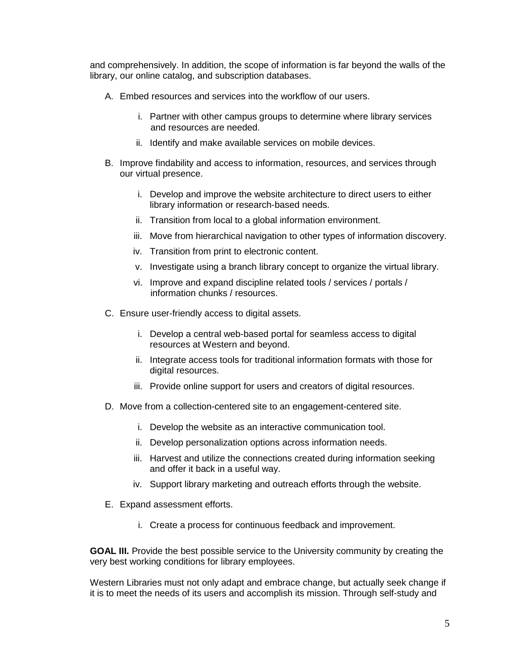and comprehensively. In addition, the scope of information is far beyond the walls of the library, our online catalog, and subscription databases.

- A. Embed resources and services into the workflow of our users.
	- i. Partner with other campus groups to determine where library services and resources are needed.
	- ii. Identify and make available services on mobile devices.
- B. Improve findability and access to information, resources, and services through our virtual presence.
	- i. Develop and improve the website architecture to direct users to either library information or research-based needs.
	- ii. Transition from local to a global information environment.
	- iii. Move from hierarchical navigation to other types of information discovery.
	- iv. Transition from print to electronic content.
	- v. Investigate using a branch library concept to organize the virtual library.
	- vi. Improve and expand discipline related tools / services / portals / information chunks / resources.
- C. Ensure user-friendly access to digital assets.
	- i. Develop a central web-based portal for seamless access to digital resources at Western and beyond.
	- ii. Integrate access tools for traditional information formats with those for digital resources.
	- iii. Provide online support for users and creators of digital resources.
- D. Move from a collection-centered site to an engagement-centered site.
	- i. Develop the website as an interactive communication tool.
	- ii. Develop personalization options across information needs.
	- iii. Harvest and utilize the connections created during information seeking and offer it back in a useful way.
	- iv. Support library marketing and outreach efforts through the website.
- E. Expand assessment efforts.
	- i. Create a process for continuous feedback and improvement.

**GOAL III.** Provide the best possible service to the University community by creating the very best working conditions for library employees.

Western Libraries must not only adapt and embrace change, but actually seek change if it is to meet the needs of its users and accomplish its mission. Through self-study and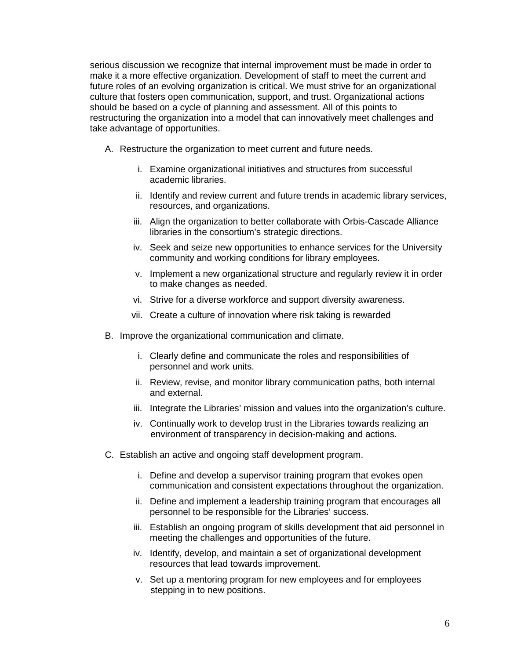serious discussion we recognize that internal improvement must be made in order to make it a more effective organization. Development of staff to meet the current and future roles of an evolving organization is critical. We must strive for an organizational culture that fosters open communication, support, and trust. Organizational actions should be based on a cycle of planning and assessment. All of this points to restructuring the organization into a model that can innovatively meet challenges and take advantage of opportunities.

- A. Restructure the organization to meet current and future needs.
	- i. Examine organizational initiatives and structures from successful academic libraries.
	- ii. Identify and review current and future trends in academic library services, resources, and organizations.
	- iii. Align the organization to better collaborate with Orbis-Cascade Alliance libraries in the consortium's strategic directions.
	- iv. Seek and seize new opportunities to enhance services for the University community and working conditions for library employees.
	- v. Implement a new organizational structure and regularly review it in order to make changes as needed.
	- vi. Strive for a diverse workforce and support diversity awareness.
	- vii. Create a culture of innovation where risk taking is rewarded
- B. Improve the organizational communication and climate.
	- i. Clearly define and communicate the roles and responsibilities of personnel and work units.
	- ii. Review, revise, and monitor library communication paths, both internal and external.
	- iii. Integrate the Libraries' mission and values into the organization's culture.
	- iv. Continually work to develop trust in the Libraries towards realizing an environment of transparency in decision-making and actions.
- C. Establish an active and ongoing staff development program.
	- i. Define and develop a supervisor training program that evokes open communication and consistent expectations throughout the organization.
	- ii. Define and implement a leadership training program that encourages all personnel to be responsible for the Libraries' success.
	- iii. Establish an ongoing program of skills development that aid personnel in meeting the challenges and opportunities of the future.
	- iv. Identify, develop, and maintain a set of organizational development resources that lead towards improvement.
	- v. Set up a mentoring program for new employees and for employees stepping in to new positions.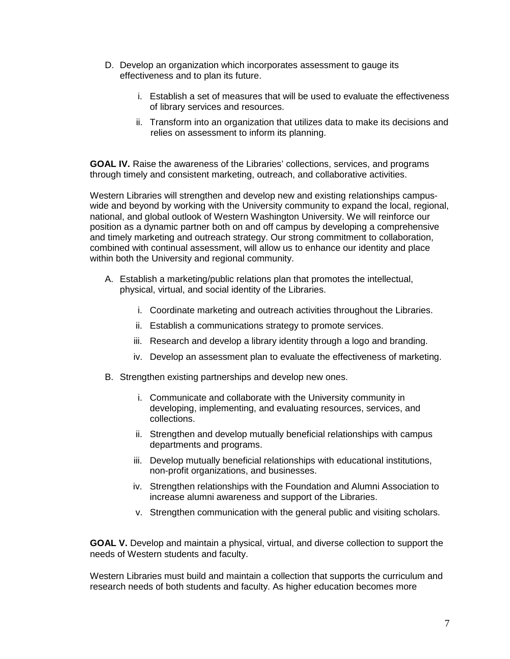- D. Develop an organization which incorporates assessment to gauge its effectiveness and to plan its future.
	- i. Establish a set of measures that will be used to evaluate the effectiveness of library services and resources.
	- ii. Transform into an organization that utilizes data to make its decisions and relies on assessment to inform its planning.

**GOAL IV.** Raise the awareness of the Libraries' collections, services, and programs through timely and consistent marketing, outreach, and collaborative activities.

Western Libraries will strengthen and develop new and existing relationships campuswide and beyond by working with the University community to expand the local, regional, national, and global outlook of Western Washington University. We will reinforce our position as a dynamic partner both on and off campus by developing a comprehensive and timely marketing and outreach strategy. Our strong commitment to collaboration, combined with continual assessment, will allow us to enhance our identity and place within both the University and regional community.

- A. Establish a marketing/public relations plan that promotes the intellectual, physical, virtual, and social identity of the Libraries.
	- i. Coordinate marketing and outreach activities throughout the Libraries.
	- ii. Establish a communications strategy to promote services.
	- iii. Research and develop a library identity through a logo and branding.
	- iv. Develop an assessment plan to evaluate the effectiveness of marketing.
- B. Strengthen existing partnerships and develop new ones.
	- i. Communicate and collaborate with the University community in developing, implementing, and evaluating resources, services, and collections.
	- ii. Strengthen and develop mutually beneficial relationships with campus departments and programs.
	- iii. Develop mutually beneficial relationships with educational institutions, non-profit organizations, and businesses.
	- iv. Strengthen relationships with the Foundation and Alumni Association to increase alumni awareness and support of the Libraries.
	- v. Strengthen communication with the general public and visiting scholars.

**GOAL V.** Develop and maintain a physical, virtual, and diverse collection to support the needs of Western students and faculty.

Western Libraries must build and maintain a collection that supports the curriculum and research needs of both students and faculty. As higher education becomes more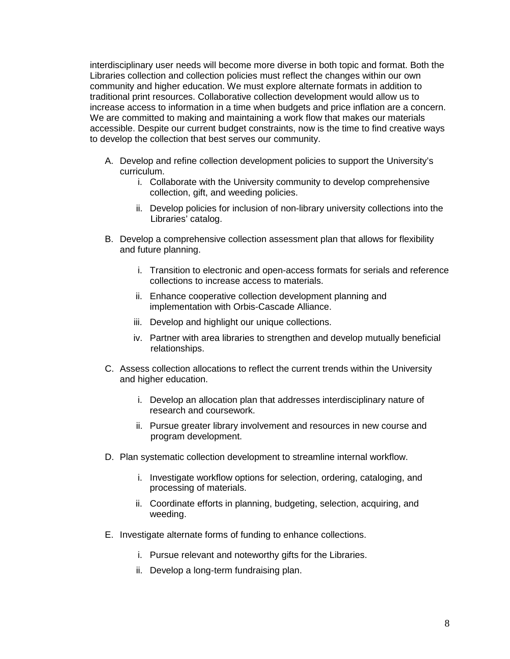interdisciplinary user needs will become more diverse in both topic and format. Both the Libraries collection and collection policies must reflect the changes within our own community and higher education. We must explore alternate formats in addition to traditional print resources. Collaborative collection development would allow us to increase access to information in a time when budgets and price inflation are a concern. We are committed to making and maintaining a work flow that makes our materials accessible. Despite our current budget constraints, now is the time to find creative ways to develop the collection that best serves our community.

- A. Develop and refine collection development policies to support the University's curriculum.
	- i. Collaborate with the University community to develop comprehensive collection, gift, and weeding policies.
	- ii. Develop policies for inclusion of non-library university collections into the Libraries' catalog.
- B. Develop a comprehensive collection assessment plan that allows for flexibility and future planning.
	- i. Transition to electronic and open-access formats for serials and reference collections to increase access to materials.
	- ii. Enhance cooperative collection development planning and implementation with Orbis-Cascade Alliance.
	- iii. Develop and highlight our unique collections.
	- iv. Partner with area libraries to strengthen and develop mutually beneficial relationships.
- C. Assess collection allocations to reflect the current trends within the University and higher education.
	- i. Develop an allocation plan that addresses interdisciplinary nature of research and coursework.
	- ii. Pursue greater library involvement and resources in new course and program development.
- D. Plan systematic collection development to streamline internal workflow.
	- i. Investigate workflow options for selection, ordering, cataloging, and processing of materials.
	- ii. Coordinate efforts in planning, budgeting, selection, acquiring, and weeding.
- E. Investigate alternate forms of funding to enhance collections.
	- i. Pursue relevant and noteworthy gifts for the Libraries.
	- ii. Develop a long-term fundraising plan.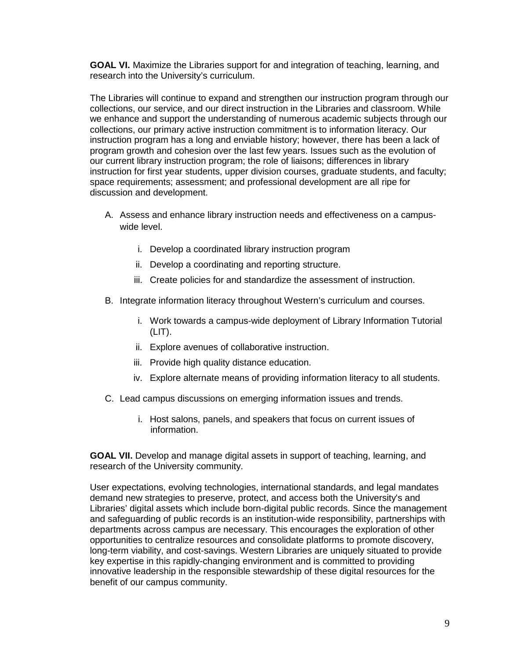**GOAL VI.** Maximize the Libraries support for and integration of teaching, learning, and research into the University's curriculum.

The Libraries will continue to expand and strengthen our instruction program through our collections, our service, and our direct instruction in the Libraries and classroom. While we enhance and support the understanding of numerous academic subjects through our collections, our primary active instruction commitment is to information literacy. Our instruction program has a long and enviable history; however, there has been a lack of program growth and cohesion over the last few years. Issues such as the evolution of our current library instruction program; the role of liaisons; differences in library instruction for first year students, upper division courses, graduate students, and faculty; space requirements; assessment; and professional development are all ripe for discussion and development.

- A. Assess and enhance library instruction needs and effectiveness on a campuswide level.
	- i. Develop a coordinated library instruction program
	- ii. Develop a coordinating and reporting structure.
	- iii. Create policies for and standardize the assessment of instruction.
- B. Integrate information literacy throughout Western's curriculum and courses.
	- i. Work towards a campus-wide deployment of Library Information Tutorial  $(LIT)$ .
	- ii. Explore avenues of collaborative instruction.
	- iii. Provide high quality distance education.
	- iv. Explore alternate means of providing information literacy to all students.
- C. Lead campus discussions on emerging information issues and trends.
	- i. Host salons, panels, and speakers that focus on current issues of information.

**GOAL VII.** Develop and manage digital assets in support of teaching, learning, and research of the University community.

User expectations, evolving technologies, international standards, and legal mandates demand new strategies to preserve, protect, and access both the University's and Libraries' digital assets which include born-digital public records. Since the management and safeguarding of public records is an institution-wide responsibility, partnerships with departments across campus are necessary. This encourages the exploration of other opportunities to centralize resources and consolidate platforms to promote discovery, long-term viability, and cost-savings. Western Libraries are uniquely situated to provide key expertise in this rapidly-changing environment and is committed to providing innovative leadership in the responsible stewardship of these digital resources for the benefit of our campus community.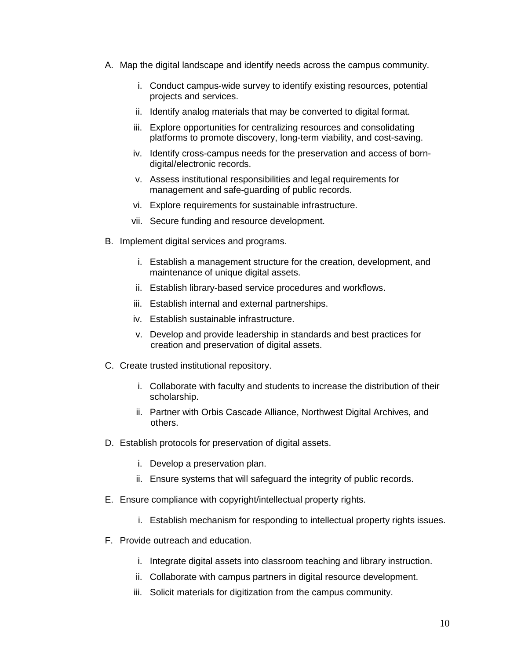- A. Map the digital landscape and identify needs across the campus community.
	- i. Conduct campus-wide survey to identify existing resources, potential projects and services.
	- ii. Identify analog materials that may be converted to digital format.
	- iii. Explore opportunities for centralizing resources and consolidating platforms to promote discovery, long-term viability, and cost-saving.
	- iv. Identify cross-campus needs for the preservation and access of borndigital/electronic records.
	- v. Assess institutional responsibilities and legal requirements for management and safe-guarding of public records.
	- vi. Explore requirements for sustainable infrastructure.
	- vii. Secure funding and resource development.
- B. Implement digital services and programs.
	- i. Establish a management structure for the creation, development, and maintenance of unique digital assets.
	- ii. Establish library-based service procedures and workflows.
	- iii. Establish internal and external partnerships.
	- iv. Establish sustainable infrastructure.
	- v. Develop and provide leadership in standards and best practices for creation and preservation of digital assets.
- C. Create trusted institutional repository.
	- i. Collaborate with faculty and students to increase the distribution of their scholarship.
	- ii. Partner with Orbis Cascade Alliance, Northwest Digital Archives, and others.
- D. Establish protocols for preservation of digital assets.
	- i. Develop a preservation plan.
	- ii. Ensure systems that will safeguard the integrity of public records.
- E. Ensure compliance with copyright/intellectual property rights.
	- i. Establish mechanism for responding to intellectual property rights issues.
- F. Provide outreach and education.
	- i. Integrate digital assets into classroom teaching and library instruction.
	- ii. Collaborate with campus partners in digital resource development.
	- iii. Solicit materials for digitization from the campus community.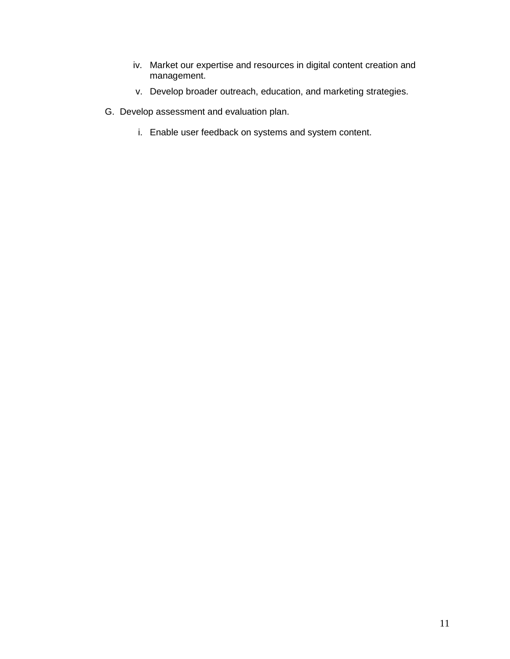- iv. Market our expertise and resources in digital content creation and management.
- v. Develop broader outreach, education, and marketing strategies.
- G. Develop assessment and evaluation plan.
	- i. Enable user feedback on systems and system content.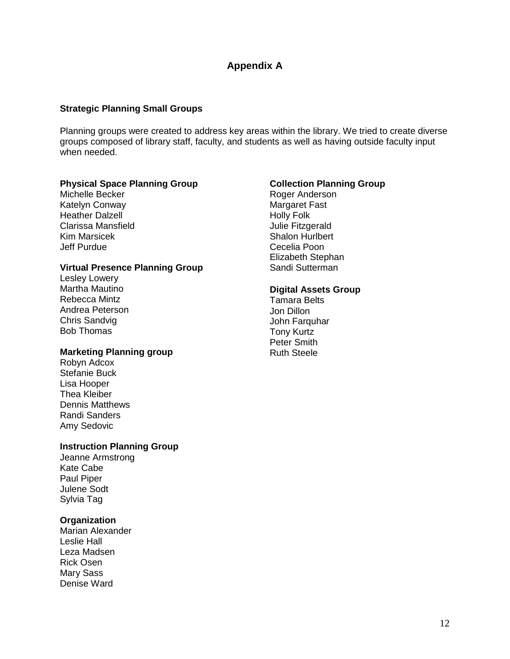# **Appendix A**

## **Strategic Planning Small Groups**

Planning groups were created to address key areas within the library. We tried to create diverse groups composed of library staff, faculty, and students as well as having outside faculty input when needed.

### **Physical Space Planning Group**

Michelle Becker Katelyn Conway Heather Dalzell Clarissa Mansfield Kim Marsicek Jeff Purdue

### **Virtual Presence Planning Group**

Lesley Lowery Martha Mautino Rebecca Mintz Andrea Peterson Chris Sandvig Bob Thomas

### **Marketing Planning group**

Robyn Adcox Stefanie Buck Lisa Hooper Thea Kleiber Dennis Matthews Randi Sanders Amy Sedovic

### **Instruction Planning Group**

Jeanne Armstrong Kate Cabe Paul Piper Julene Sodt Sylvia Tag

### **Organization**

Marian Alexander Leslie Hall Leza Madsen Rick Osen Mary Sass Denise Ward

## **Collection Planning Group**

Roger Anderson Margaret Fast Holly Folk Julie Fitzgerald Shalon Hurlbert Cecelia Poon Elizabeth Stephan Sandi Sutterman

### **Digital Assets Group**

Tamara Belts Jon Dillon John Farquhar Tony Kurtz Peter Smith Ruth Steele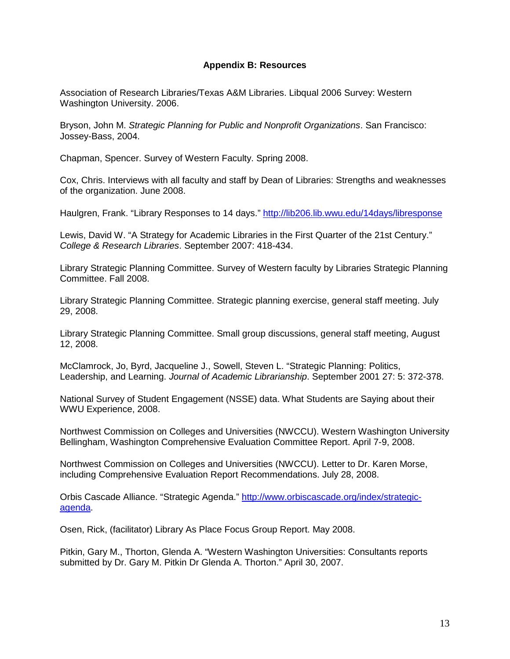### **Appendix B: Resources**

Association of Research Libraries/Texas A&M Libraries. Libqual 2006 Survey: Western Washington University. 2006.

Bryson, John M. Strategic Planning for Public and Nonprofit Organizations. San Francisco: Jossey-Bass, 2004.

Chapman, Spencer. Survey of Western Faculty. Spring 2008.

Cox, Chris. Interviews with all faculty and staff by Dean of Libraries: Strengths and weaknesses of the organization. June 2008.

Haulgren, Frank. "Library Responses to 14 days." http://lib206.lib.wwu.edu/14days/libresponse

Lewis, David W. "A Strategy for Academic Libraries in the First Quarter of the 21st Century." College & Research Libraries. September 2007: 418-434.

Library Strategic Planning Committee. Survey of Western faculty by Libraries Strategic Planning Committee. Fall 2008.

Library Strategic Planning Committee. Strategic planning exercise, general staff meeting. July 29, 2008.

Library Strategic Planning Committee. Small group discussions, general staff meeting, August 12, 2008.

McClamrock, Jo, Byrd, Jacqueline J., Sowell, Steven L. "Strategic Planning: Politics, Leadership, and Learning. Journal of Academic Librarianship. September 2001 27: 5: 372-378.

National Survey of Student Engagement (NSSE) data. What Students are Saying about their WWU Experience, 2008.

Northwest Commission on Colleges and Universities (NWCCU). Western Washington University Bellingham, Washington Comprehensive Evaluation Committee Report. April 7-9, 2008.

Northwest Commission on Colleges and Universities (NWCCU). Letter to Dr. Karen Morse, including Comprehensive Evaluation Report Recommendations. July 28, 2008.

Orbis Cascade Alliance. "Strategic Agenda." http://www.orbiscascade.org/index/strategicagenda.

Osen, Rick, (facilitator) Library As Place Focus Group Report. May 2008.

Pitkin, Gary M., Thorton, Glenda A. "Western Washington Universities: Consultants reports submitted by Dr. Gary M. Pitkin Dr Glenda A. Thorton." April 30, 2007.